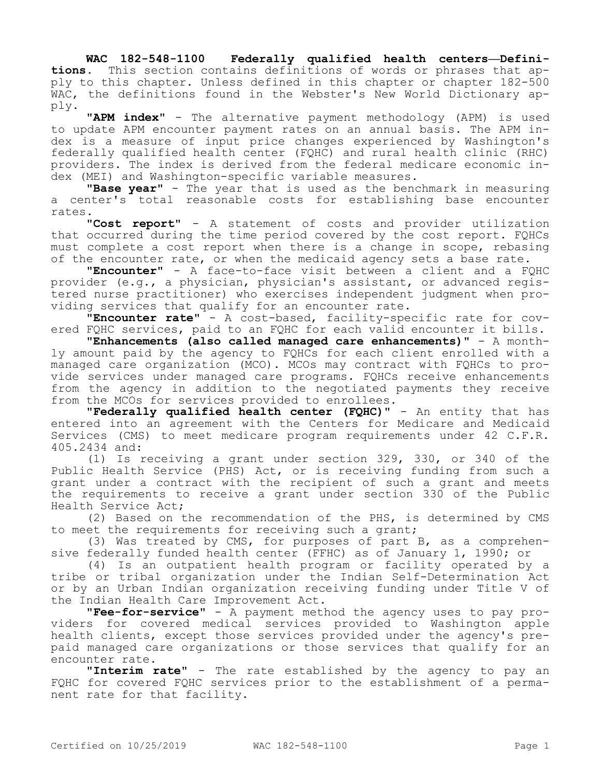**WAC 182-548-1100 Federally qualified health centers—Definitions.** This section contains definitions of words or phrases that apply to this chapter. Unless defined in this chapter or chapter 182-500 WAC, the definitions found in the Webster's New World Dictionary apply.

**"APM index"** - The alternative payment methodology (APM) is used to update APM encounter payment rates on an annual basis. The APM index is a measure of input price changes experienced by Washington's federally qualified health center (FQHC) and rural health clinic (RHC) providers. The index is derived from the federal medicare economic index (MEI) and Washington-specific variable measures.

**"Base year"** - The year that is used as the benchmark in measuring a center's total reasonable costs for establishing base encounter rates.

**"Cost report"** - A statement of costs and provider utilization that occurred during the time period covered by the cost report. FQHCs must complete a cost report when there is a change in scope, rebasing of the encounter rate, or when the medicaid agency sets a base rate.

**"Encounter"** - A face-to-face visit between a client and a FQHC provider (e.g., a physician, physician's assistant, or advanced registered nurse practitioner) who exercises independent judgment when providing services that qualify for an encounter rate.

**"Encounter rate"** - A cost-based, facility-specific rate for covered FQHC services, paid to an FQHC for each valid encounter it bills.

**"Enhancements (also called managed care enhancements)"** - A monthly amount paid by the agency to FQHCs for each client enrolled with a managed care organization (MCO). MCOs may contract with FQHCs to provide services under managed care programs. FQHCs receive enhancements from the agency in addition to the negotiated payments they receive from the MCOs for services provided to enrollees.

**"Federally qualified health center (FQHC)"** - An entity that has entered into an agreement with the Centers for Medicare and Medicaid Services (CMS) to meet medicare program requirements under 42 C.F.R. 405.2434 and:

(1) Is receiving a grant under section 329, 330, or 340 of the Public Health Service (PHS) Act, or is receiving funding from such a grant under a contract with the recipient of such a grant and meets the requirements to receive a grant under section 330 of the Public Health Service Act;

(2) Based on the recommendation of the PHS, is determined by CMS to meet the requirements for receiving such a grant;

(3) Was treated by CMS, for purposes of part B, as a comprehensive federally funded health center (FFHC) as of January 1, 1990; or

(4) Is an outpatient health program or facility operated by a tribe or tribal organization under the Indian Self-Determination Act or by an Urban Indian organization receiving funding under Title V of the Indian Health Care Improvement Act.

**"Fee-for-service"** - A payment method the agency uses to pay providers for covered medical services provided to Washington apple health clients, except those services provided under the agency's prepaid managed care organizations or those services that qualify for an encounter rate.

**"Interim rate"** - The rate established by the agency to pay an FQHC for covered FQHC services prior to the establishment of a permanent rate for that facility.